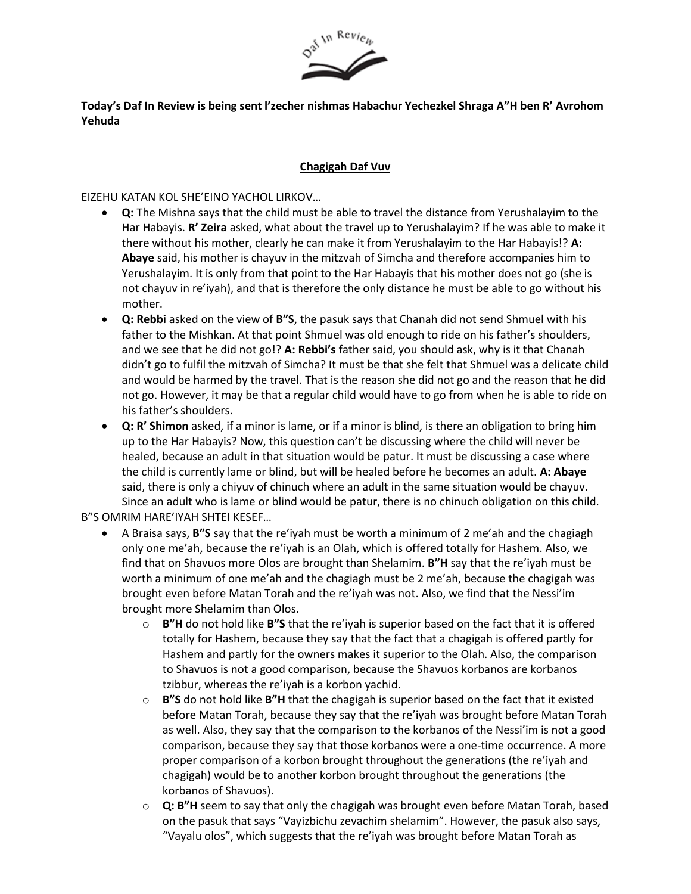

**Today's Daf In Review is being sent l'zecher nishmas Habachur Yechezkel Shraga A"H ben R' Avrohom Yehuda**

## **Chagigah Daf Vuv**

EIZEHU KATAN KOL SHE'EINO YACHOL LIRKOV…

- **Q:** The Mishna says that the child must be able to travel the distance from Yerushalayim to the Har Habayis. **R' Zeira** asked, what about the travel up to Yerushalayim? If he was able to make it there without his mother, clearly he can make it from Yerushalayim to the Har Habayis!? **A: Abaye** said, his mother is chayuv in the mitzvah of Simcha and therefore accompanies him to Yerushalayim. It is only from that point to the Har Habayis that his mother does not go (she is not chayuv in re'iyah), and that is therefore the only distance he must be able to go without his mother.
- **Q: Rebbi** asked on the view of **B"S**, the pasuk says that Chanah did not send Shmuel with his father to the Mishkan. At that point Shmuel was old enough to ride on his father's shoulders, and we see that he did not go!? **A: Rebbi's** father said, you should ask, why is it that Chanah didn't go to fulfil the mitzvah of Simcha? It must be that she felt that Shmuel was a delicate child and would be harmed by the travel. That is the reason she did not go and the reason that he did not go. However, it may be that a regular child would have to go from when he is able to ride on his father's shoulders.
- **Q: R' Shimon** asked, if a minor is lame, or if a minor is blind, is there an obligation to bring him up to the Har Habayis? Now, this question can't be discussing where the child will never be healed, because an adult in that situation would be patur. It must be discussing a case where the child is currently lame or blind, but will be healed before he becomes an adult. **A: Abaye** said, there is only a chiyuv of chinuch where an adult in the same situation would be chayuv. Since an adult who is lame or blind would be patur, there is no chinuch obligation on this child.

B"S OMRIM HARE'IYAH SHTEI KESEF…

- A Braisa says, **B"S** say that the re'iyah must be worth a minimum of 2 me'ah and the chagiagh only one me'ah, because the re'iyah is an Olah, which is offered totally for Hashem. Also, we find that on Shavuos more Olos are brought than Shelamim. **B"H** say that the re'iyah must be worth a minimum of one me'ah and the chagiagh must be 2 me'ah, because the chagigah was brought even before Matan Torah and the re'iyah was not. Also, we find that the Nessi'im brought more Shelamim than Olos.
	- o **B"H** do not hold like **B"S** that the re'iyah is superior based on the fact that it is offered totally for Hashem, because they say that the fact that a chagigah is offered partly for Hashem and partly for the owners makes it superior to the Olah. Also, the comparison to Shavuos is not a good comparison, because the Shavuos korbanos are korbanos tzibbur, whereas the re'iyah is a korbon yachid.
	- o **B"S** do not hold like **B"H** that the chagigah is superior based on the fact that it existed before Matan Torah, because they say that the re'iyah was brought before Matan Torah as well. Also, they say that the comparison to the korbanos of the Nessi'im is not a good comparison, because they say that those korbanos were a one-time occurrence. A more proper comparison of a korbon brought throughout the generations (the re'iyah and chagigah) would be to another korbon brought throughout the generations (the korbanos of Shavuos).
	- o **Q: B"H** seem to say that only the chagigah was brought even before Matan Torah, based on the pasuk that says "Vayizbichu zevachim shelamim". However, the pasuk also says, "Vayalu olos", which suggests that the re'iyah was brought before Matan Torah as